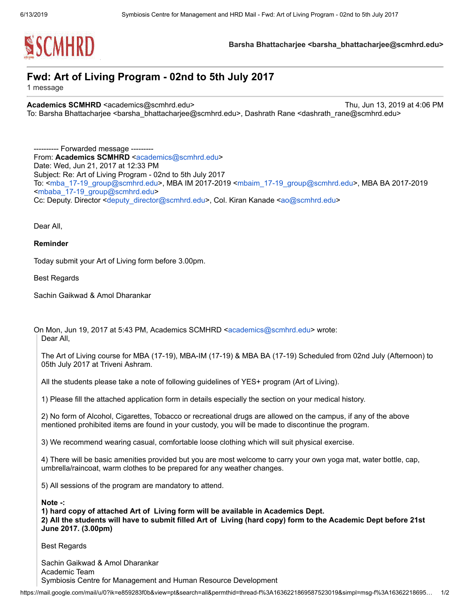

Barsha Bhattacharjee <br />
starsha Bhattacharjee@scmhrd.edu>

## Fwd: Art of Living Program - 02nd to 5th July 2017

1 message

Academics SCMHRD <academics@scmhrd.edu> Thu, Jun 13, 2019 at 4:06 PM To: Barsha Bhattacharjee <barsha\_bhattacharjee@scmhrd.edu>, Dashrath Rane <dashrath\_rane@scmhrd.edu>

---------- Forwarded message --------- From: Academics SCMHRD [<academics@scmhrd.edu>](mailto:academics@scmhrd.edu) Date: Wed, Jun 21, 2017 at 12:33 PM Subject: Re: Art of Living Program - 02nd to 5th July 2017 To: <[mba\\_17-19\\_group@scmhrd.edu>](mailto:mba_17-19_group@scmhrd.edu), MBA IM 2017-2019 <[mbaim\\_17-19\\_group@scmhrd.edu](mailto:mbaim_17-19_group@scmhrd.edu)>, MBA BA 2017-2019 <[mbaba\\_17-19\\_group@scmhrd.edu](mailto:mbaba_17-19_group@scmhrd.edu)> Cc: Deputy. Director [<deputy\\_director@scmhrd.edu>](mailto:deputy_director@scmhrd.edu), Col. Kiran Kanade [<ao@scmhrd.edu>](mailto:ao@scmhrd.edu)

Dear All,

Reminder

Today submit your Art of Living form before 3.00pm.

Best Regards

Sachin Gaikwad & Amol Dharankar

On Mon, Jun 19, 2017 at 5:43 PM, Academics SCMHRD <[academics@scmhrd.edu>](mailto:academics@scmhrd.edu) wrote: Dear All,

The Art of Living course for MBA (17-19), MBA-IM (17-19) & MBA BA (17-19) Scheduled from 02nd July (Afternoon) to 05th July 2017 at Triveni Ashram.

All the students please take a note of following guidelines of YES+ program (Art of Living).

1) Please fill the attached application form in details especially the section on your medical history.

2) No form of Alcohol, Cigarettes, Tobacco or recreational drugs are allowed on the campus, if any of the above mentioned prohibited items are found in your custody, you will be made to discontinue the program.

3) We recommend wearing casual, comfortable loose clothing which will suit physical exercise.

4) There will be basic amenities provided but you are most welcome to carry your own yoga mat, water bottle, cap, umbrella/raincoat, warm clothes to be prepared for any weather changes.

5) All sessions of the program are mandatory to attend.

Note -:

1) hard copy of attached Art of Living form will be available in Academics Dept. 2) All the students will have to submit filled Art of Living (hard copy) form to the Academic Dept before 21st June 2017. (3.00pm)

Best Regards

Sachin Gaikwad & Amol Dharankar Academic Team Symbiosis Centre for Management and Human Resource Development